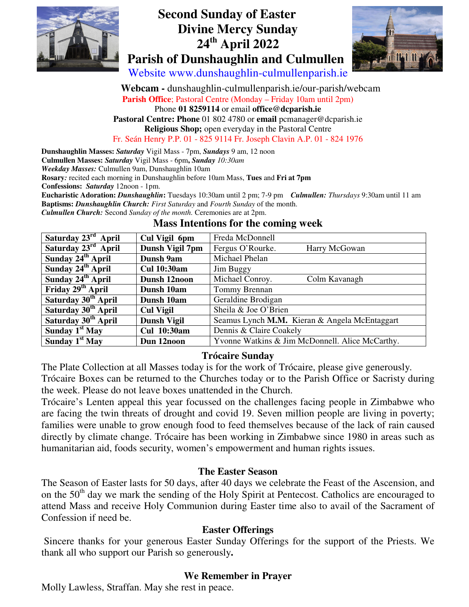

# **Second Sunday of Easter Divine Mercy Sunday 24th April 2022 Parish of Dunshaughlin and Culmullen**



Website www.dunshaughlin-culmullenparish.ie

 **Webcam -** dunshaughlin-culmullenparish.ie/our-parish/webcam **Parish Office**; Pastoral Centre (Monday – Friday 10am until 2pm) Phone **01 8259114** or email **office@dcparish.ie Pastoral Centre: Phone** 01 802 4780 or **email** pcmanager@dcparish.ie **Religious Shop;** open everyday in the Pastoral Centre Fr. Seán Henry P.P. 01 - 825 9114 Fr. Joseph Clavin A.P. 01 - 824 1976

**Dunshaughlin Masses:** *Saturday* Vigil Mass - 7pm, *Sundays* 9 am, 12 noon **Culmullen Masses:** *Saturday* Vigil Mass - 6pm**,** *Sunday 10:30am Weekday Masses:* Culmullen 9am, Dunshaughlin 10am **Rosary***:* recited each morning in Dunshaughlin before 10am Mass, **Tues** and **Fri at 7pm Confessions:** *Saturday* 12noon - 1pm. **Eucharistic Adoration:** *Dunshaughlin***:** Tuesdays 10:30am until 2 pm; 7-9 pm *Culmullen: Thursdays* 9:30am until 11 am

**Baptisms:** *Dunshaughlin Church: First Saturday* and *Fourth Sunday* of the month. *Culmullen Church:* Second *Sunday of the month.* Ceremonies are at 2pm.

| Saturday 23 <sup>rd</sup> April | Cul Vigil 6pm      | Freda McDonnell                                 |
|---------------------------------|--------------------|-------------------------------------------------|
| Saturday 23 <sup>rd</sup> April | Dunsh Vigil 7pm    | Fergus O'Rourke.<br>Harry McGowan               |
| Sunday 24 <sup>th</sup> April   | Dunsh 9am          | Michael Phelan                                  |
| Sunday 24 <sup>th</sup> April   | <b>Cul 10:30am</b> | Jim Buggy                                       |
| Sunday 24 <sup>th</sup> April   | Dunsh 12noon       | Michael Conroy.<br>Colm Kavanagh                |
| Friday 29 <sup>th</sup> April   | Dunsh 10am         | Tommy Brennan                                   |
| Saturday 30 <sup>th</sup> April | Dunsh 10am         | Geraldine Brodigan                              |
| Saturday 30 <sup>th</sup> April | <b>Cul Vigil</b>   | Sheila & Joe O'Brien                            |
| Saturday 30 <sup>th</sup> April | <b>Dunsh Vigil</b> | Seamus Lynch M.M. Kieran & Angela McEntaggart   |
| Sunday $1st$ May                | <b>Cul</b> 10:30am | Dennis & Claire Coakely                         |
| Sunday $1st$ May                | Dun 12noon         | Yvonne Watkins & Jim McDonnell. Alice McCarthy. |

### **Mass Intentions for the coming week**

### **Trócaire Sunday**

The Plate Collection at all Masses today is for the work of Trócaire, please give generously.

Trócaire Boxes can be returned to the Churches today or to the Parish Office or Sacristy during the week. Please do not leave boxes unattended in the Church.

Trócaire's Lenten appeal this year focussed on the challenges facing people in Zimbabwe who are facing the twin threats of drought and covid 19. Seven million people are living in poverty; families were unable to grow enough food to feed themselves because of the lack of rain caused directly by climate change. Trócaire has been working in Zimbabwe since 1980 in areas such as humanitarian aid, foods security, women's empowerment and human rights issues.

### **The Easter Season**

The Season of Easter lasts for 50 days, after 40 days we celebrate the Feast of the Ascension, and on the 50<sup>th</sup> day we mark the sending of the Holy Spirit at Pentecost. Catholics are encouraged to attend Mass and receive Holy Communion during Easter time also to avail of the Sacrament of Confession if need be.

### **Easter Offerings**

Sincere thanks for your generous Easter Sunday Offerings for the support of the Priests. We thank all who support our Parish so generously**.** 

### **We Remember in Prayer**

Molly Lawless, Straffan. May she rest in peace.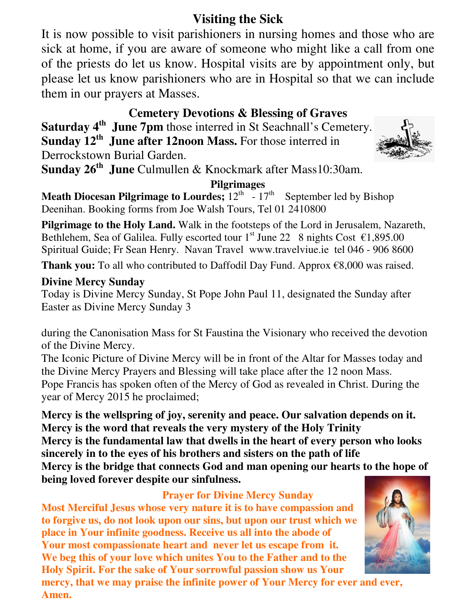# **Visiting the Sick**

It is now possible to visit parishioners in nursing homes and those who are sick at home, if you are aware of someone who might like a call from one of the priests do let us know. Hospital visits are by appointment only, but please let us know parishioners who are in Hospital so that we can include them in our prayers at Masses.

## **Cemetery Devotions & Blessing of Graves**

**Saturday 4th June 7pm** those interred in St Seachnall's Cemetery. **Sunday 12th June after 12noon Mass.** For those interred in Derrockstown Burial Garden.

**Sunday 26th June** Culmullen & Knockmark after Mass10:30am.

## **Pilgrimages**

**Meath Diocesan Pilgrimage to Lourdes;**  $12^{th}$  -  $17^{th}$  September led by Bishop Deenihan. Booking forms from Joe Walsh Tours, Tel 01 2410800

**Pilgrimage to the Holy Land.** Walk in the footsteps of the Lord in Jerusalem, Nazareth, Bethlehem, Sea of Galilea. Fully escorted tour  $1<sup>st</sup>$  June 22 8 nights Cost  $\epsilon$ 1,895.00 Spiritual Guide; Fr Sean Henry. Navan Travel www.travelviue.ie tel 046 - 906 8600

**Thank you:** To all who contributed to Daffodil Day Fund. Approx €8,000 was raised.

## **Divine Mercy Sunday**

Today is Divine Mercy Sunday, St Pope John Paul 11, designated the Sunday after Easter as Divine Mercy Sunday 3

during the Canonisation Mass for St Faustina the Visionary who received the devotion of the Divine Mercy.

The Iconic Picture of Divine Mercy will be in front of the Altar for Masses today and the Divine Mercy Prayers and Blessing will take place after the 12 noon Mass. Pope Francis has spoken often of the Mercy of God as revealed in Christ. During the year of Mercy 2015 he proclaimed;

**Mercy is the wellspring of joy, serenity and peace. Our salvation depends on it. Mercy is the word that reveals the very mystery of the Holy Trinity Mercy is the fundamental law that dwells in the heart of every person who looks** 

**sincerely in to the eyes of his brothers and sisters on the path of life** 

**Mercy is the bridge that connects God and man opening our hearts to the hope of being loved forever despite our sinfulness.** 

### **Prayer for Divine Mercy Sunday**

**Most Merciful Jesus whose very nature it is to have compassion and to forgive us, do not look upon our sins, but upon our trust which we place in Your infinite goodness. Receive us all into the abode of Your most compassionate heart and never let us escape from it. We beg this of your love which unites You to the Father and to the Holy Spirit. For the sake of Your sorrowful passion show us Your** 





**mercy, that we may praise the infinite power of Your Mercy for ever and ever, Amen.**